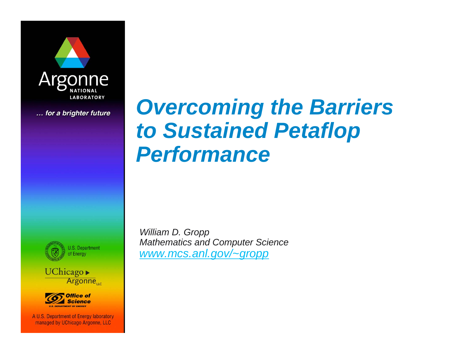

... for a brighter future

# *Overcoming the Barriers to Sustained Petaflop Performance*







A U.S. Department of Energy laboratory managed by UChicago Argonne, LLC

*William D. Gropp Mathematics and Computer Science www.mcs.anl.gov/~gropp*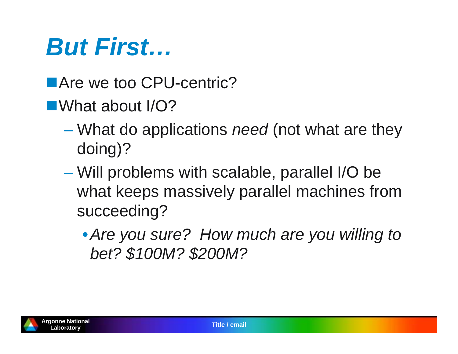# *But First…*

- Are we too CPU-centric?
- ■What about I/O?
	- What do applications *need* (not what are they doing)?
	- Will problems with scalable, parallel I/O be what keeps massively parallel machines from succeeding?
		- •*Are you sure? How much are you willing to bet? \$100M? \$200M?*

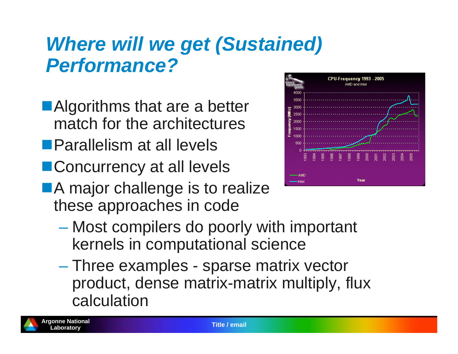### *Where will we get (Sustained) Performance?*

- ■Algorithms that are a better match for the architectures
- **Parallelism at all levels**
- **Concurrency at all levels**
- **A** major challenge is to realize these approaches in code



- **However the Company**  Most compilers do poorly with important kernels in computational science
- **However the Company**  Three examples - sparse matrix vector product, dense matrix-matrix multiply, flux calculation

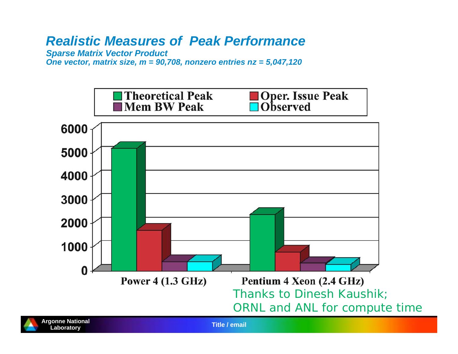#### *Realistic Measures of Peak Performance*

*Sparse Matrix Vector Product*

*One vector, matrix size, m = 90,708, nonzero entries nz = 5,047,120*

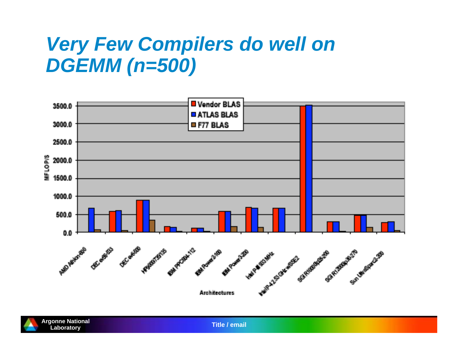#### *Very Few Compilers do well on DGEMM (n=500)*





**Laboratory Title / email**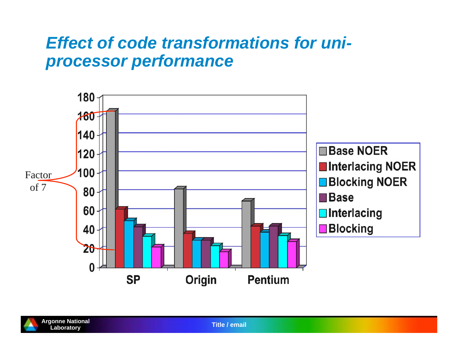#### *Effect of code transformations for uniprocessor performance*

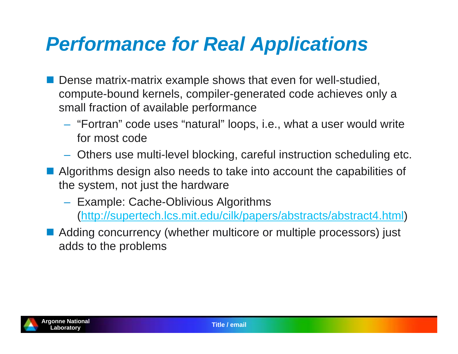### *Performance for Real Applications*

- **Dense matrix-matrix example shows that even for well-studied,** compute-bound kernels, compiler-generated code achieves only a small fraction of available performance
	- "Fortran" code uses "natural" loops, i.e., what a user would write for most code
	- Others use multi-level blocking, careful instruction scheduling etc.
- **Algorithms design also needs to take into account the capabilities of** the system, not just the hardware
	- Example: Cache-Oblivious Algorithms (http://supertech.lcs.mit.edu/cilk/papers/abstracts/abstract4.html)
- Adding concurrency (whether multicore or multiple processors) just adds to the problems

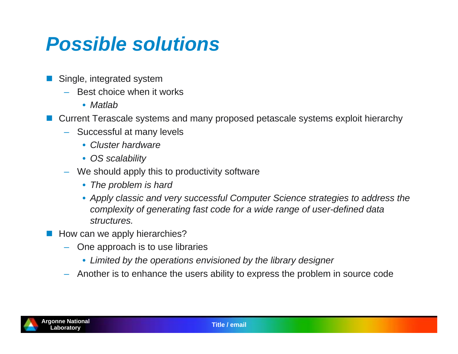### *Possible solutions*

- Single, integrated system
	- Best choice when it works
		- *Matlab*
- Current Terascale systems and many proposed petascale systems exploit hierarchy
	- Successful at many levels
		- *Cluster hardware*
		- *OS scalability*
	- We should apply this to productivity software
		- *The problem is hard*
		- *Apply classic and very successful Computer Science strategies to address the complexity of generating fast code for a wide range of user-defined data structures.*
- **How can we apply hierarchies?** 
	- One approach is to use libraries
		- *Limited by the operations envisioned by the library designer*
	- Another is to enhance the users ability to express the problem in source code

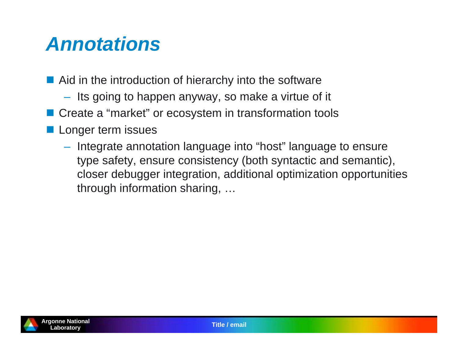#### *Annotations*

- **Aid in the introduction of hierarchy into the software** 
	- $-$  Its going to happen anyway, so make a virtue of it
- Create a "market" or ecosystem in transformation tools
- **Longer term issues** 
	- $-$  Integrate annotation language into "host" language to ensure type safety, ensure consistency (both syntactic and semantic), closer debugger integration, additional optimization opportunities through information sharing, …

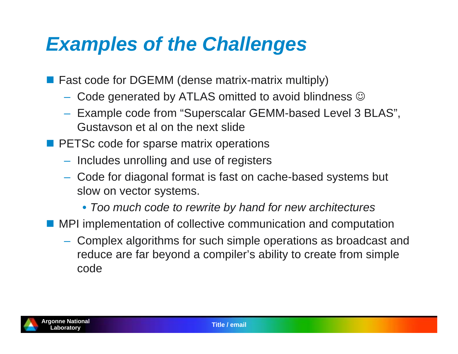### *Examples of the Challenges*

- Fast code for DGEMM (dense matrix-matrix multiply)
	- $-$  Code generated by ATLAS omitted to avoid blindness  $\circledcirc$
	- $-$  Example code from "Superscalar GEMM-based Level 3 BLAS", Gustavson et al on the next slide
- **PETSc code for sparse matrix operations** 
	- $-$  Includes unrolling and use of registers
	- Code for diagonal format is fast on cache-based systems but slow on vector systems.
		- *Too much code to rewrite by hand for new architectures*
- **E** MPI implementation of collective communication and computation
	- Complex algorithms for such simple operations as broadcast and reduce are far beyond a compiler's ability to create from simple code

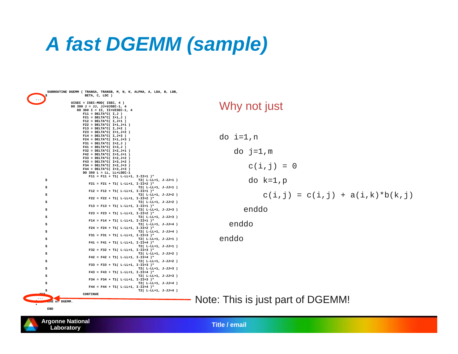### *A fast DGEMM (sample)*

 **SUBROUTINE DGEMM ( TRANSA, TRANSB, M, N, K, ALPHA, A, LDA, B, LDB, BETA, C, LDC** ) **... UISEC = ISEC-MOD( ISEC, 4 ) DO 390 J = JJ, JJ+UJSEC-1, 4 DO 360 I = II, II+UISEC-1, 4**   $F11 = DELTA*C( I.J )$  **F21 = DELTA\*C( I+1,J ) F12 = DELTA\*C( I,J+1 ) F22 = DELTA\*C( I+1,J+1 ) F13 = DELTA\*C( I,J+2 )**   $F23 = DELTA*C( I+1, J+2 )$  **F14 = DELTA\*C( I,J+3 )**   $F24 = DELTA*C( I+1, J+3 )$  **F31 = DELTA\*C( I+2,J ) F41 = DELTA\*C( I+3,J )**   $F32 = DELTA*C( I+2, J+1)$  $F42 = DELTA*C( I+3, J+1 )$  $F33 = DELTA*C( I+2, J+2 )$  $F43 = DELTA*C(T+3, J+2)$  $F34 = DELTA*C(T+2, J+3)$  $F44 = DELTA*C( I+3, J+3 )$  **DO 350 L = LL, LL+LSEC-1 F11 = F11 + T1( L-LL+1, I-II+1 )\* \$ T2( L-LL+1, J-JJ+1 ) F21 = F21 + T1( L-LL+1, I-II+2 )\* \$ T2( L-LL+1, J-JJ+1 )**   $F12 = F12 + T1($ L-LL+1, I-II+1)\*  **\$ T2( L-LL+1, J-JJ+2 )**   $F22 = F22 + T1($ L-LL+1, I-II+2  $)*$  **\$ T2( L-LL+1, J-JJ+2 )**   $F13 = F13 + T1($ L-LL+1, I-II+1)\*  **\$ T2( L-LL+1, J-JJ+3 )**   $F23 = F23 + T1( L-LL+1, L-II+2 )*$  **\$ T2( L-LL+1, J-JJ+3 )**   $F14 = F14 + T1( L-LL+1, L-III+1 )*$  **\$ T2( L-LL+1, J-JJ+4 )**   $F24 = F24 + T1($ L-LL+1, I-II+2  $)*$  **\$ T2( L-LL+1, J-JJ+4 )**   $F31 = F31 + T1($ L-LL+1, I-II+3 )\*  **\$ T2( L-LL+1, J-JJ+1 ) F41 = F41 + T1( L-LL+1, I-II+4 )\* \$ T2( L-LL+1, J-JJ+1 )**   $F32 = F32 + T1($ L-LL+1, I-II+3  $)*$  **\$ T2( L-LL+1, J-JJ+2 )**   $F42 = F42 + T1( L-LL+1, I-II+4 )*$  **\$ T2( L-LL+1, J-JJ+2 ) F33 = F33 + T1( L-LL+1, I-II+3 )\* \$ T2( L-LL+1, J-JJ+3 ) F43 = F43 + T1( L-LL+1, I-II+4 )\* \$ T2( L-LL+1, J-JJ+3 ) F34 = F34 + T1( L-LL+1, I-II+3 )\* \$ T2( L-LL+1, J-JJ+4 ) F44 = F44 + T1( L-LL+1, I-II+4 )\* \$ T2( L-LL+1, J-JJ+4 ) 350 CONTINUE ... \* End of DGEMM.** 

#### Why not just

do i=1,n do  $j=1,m$  $c(i, j) = 0$  do k=1,p  $c(i, j) = c(i, j) + a(i, k) * b(k, j)$  enddo enddo enddo

Note: This is just part of DGEMM!



**\*** 

 **END**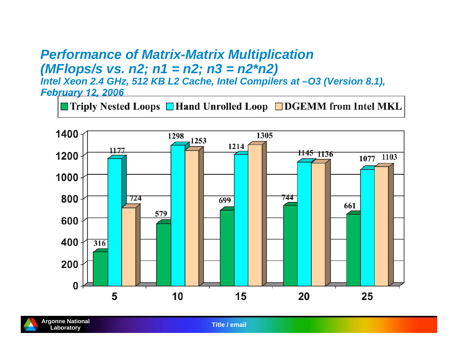#### *Performance of Matrix-Matrix Multiplication (MFlops/s vs. n2; n1 = n2; n3 = n2\*n2)*

*Intel Xeon 2.4 GHz, 512 KB L2 Cache, Intel Compilers at –O3 (Version 8.1), February 12, 2006*

 $\blacksquare$  Triply Nested Loops  $\blacksquare$  Hand Unrolled Loop  $\blacksquare$  DGEMM from Intel MKL





**Laboratory Title / email**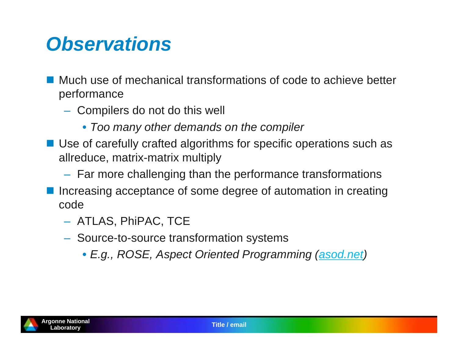#### *Observations*

- Much use of mechanical transformations of code to achieve better performance
	- $-$  Compilers do not do this well
		- *Too many other demands on the compiler*
- Use of carefully crafted algorithms for specific operations such as allreduce, matrix-matrix multiply
	- $-$  Far more challenging than the performance transformations
- **Increasing acceptance of some degree of automation in creating** code
	- ATLAS, PhiPAC, TCE
	- $-$  Source-to-source transformation systems
		- *E.g., ROSE, Aspect Oriented Programming (asod.net)*

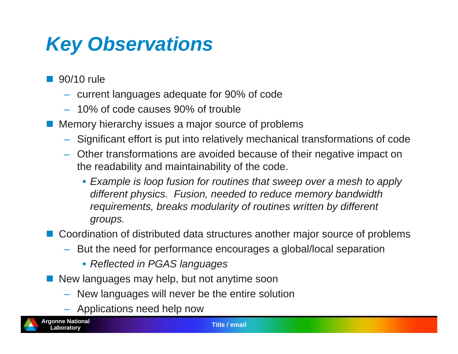## *Key Observations*

- $\overline{\mathbb{R}^2}$  90/10 rule
	- current languages adequate for 90% of code
	- 10% of code causes 90% of trouble
- **Memory hierarchy issues a major source of problems** 
	- Significant effort is put into relatively mechanical transformations of code
	- Other transformations are avoided because of their negative impact on the readability and maintainability of the code.
		- *Example is loop fusion for routines that sweep over a mesh to apply different physics. Fusion, needed to reduce memory bandwidth requirements, breaks modularity of routines written by different groups.*

■ Coordination of distributed data structures another major source of problems

- – But the need for performance encourages a global/local separation
	- *Reflected in PGAS languages*
- **New languages may help, but not anytime soon** 
	- New languages will never be the entire solution
	- Applications need help now

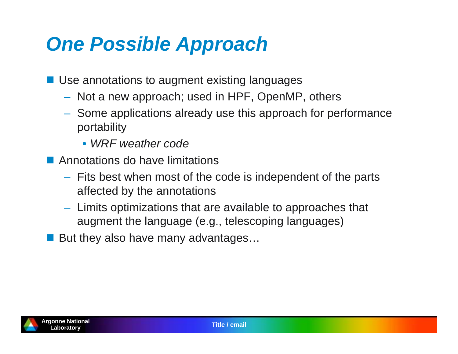### *One Possible Approach*

- Use annotations to augment existing languages
	- $-$  Not a new approach; used in HPF, OpenMP, others
	- $-$  Some applications already use this approach for performance portability
		- *WRF weather code*
- **E** Annotations do have limitations
	- $-$  Fits best when most of the code is independent of the parts affected by the annotations
	- $-$  Limits optimizations that are available to approaches that augment the language (e.g., telescoping languages)
- But they also have many advantages...

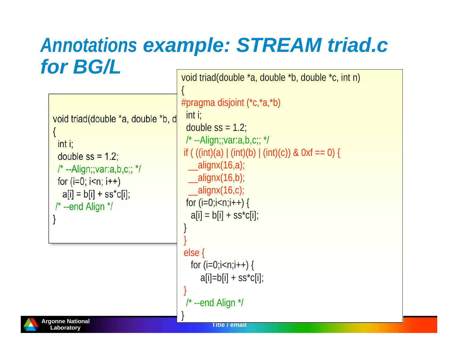#### *Annotations example: STREAM triad.c for BG/L* void triad(double \*a, double \*b, double \*c, int n)

```
void triad(double *a, double *b, d
{
  int i;
 double ss = 1.2;
 /* --Align;;var:a,b,c;; */
 for (i=0; i< n; i++)|a[i] = b[i] + s s^* c[i]; /* --end Align */
}
                                           {
                                           #pragma disjoint (*c,*a,*b)
                                             int i;
                                            double ss = 1.2;
                                            \prime^* --Align;;var:a,b,c;; \prime\primeif ( ((int)(a) | (int)(b) | (int)(c)) & 0xf == 0) {
                                             \_alignx(16,a);\_alignx(16,b);\_alignx(16,c);for (i=0;i < n;i++) {
                                              a[i] = b[i] + ss<sup>*</sup>c[i]; }
                                            } 
                                            else {
                                             for (i=0; i < n; i++) {
                                                 a[i]=b[i] + ss<sup>*</sup>c[i];}
                                            /* --end Align */
```


}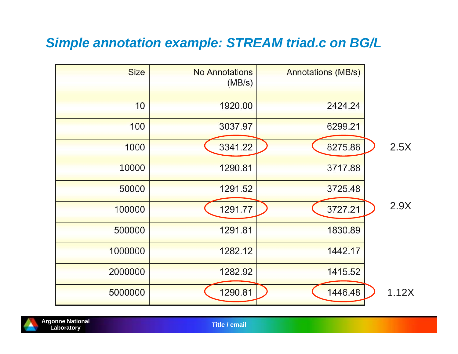#### *Simple annotation example: STREAM triad.c on BG/L*





**Laboratory Title / email**